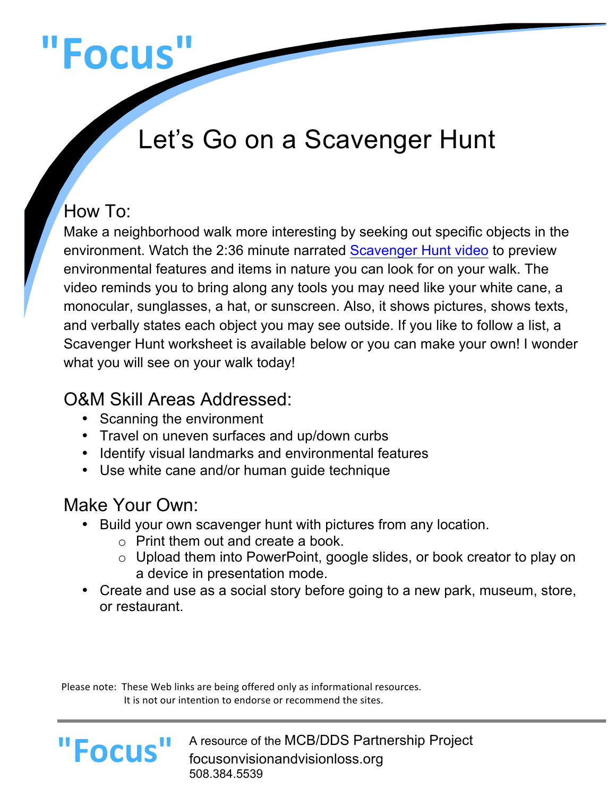# **"Focus"**

# Let's Go on a Scavenger Hunt

# How To:

Make a neighborhood walk more interesting by seeking out specific objects in the environment. Watch the 2:36 minute narrated Scavenger Hunt video to preview environmental features and items in nature you can look for on your walk. The video reminds you to bring along any tools you may need like your white cane, a monocular, sunglasses, a hat, or sunscreen. Also, it shows pictures, shows texts, and verbally states each object you may see outside. If you like to follow a list, a Scavenger Hunt worksheet is available below or you can make your own! I wonder what you will see on your walk today!

## O&M Skill Areas Addressed:

- Scanning the environment
- Travel on uneven surfaces and up/down curbs
- Identify visual landmarks and environmental features
- Use white cane and/or human guide technique

# Make Your Own:

**"Focus"**

- Build your own scavenger hunt with pictures from any location.
	- o Print them out and create a book.
	- o Upload them into PowerPoint, google slides, or book creator to play on a device in presentation mode.
- Create and use as a social story before going to a new park, museum, store, or restaurant.

Please note: These Web links are being offered only as informational resources. It is not our intention to endorse or recommend the sites.